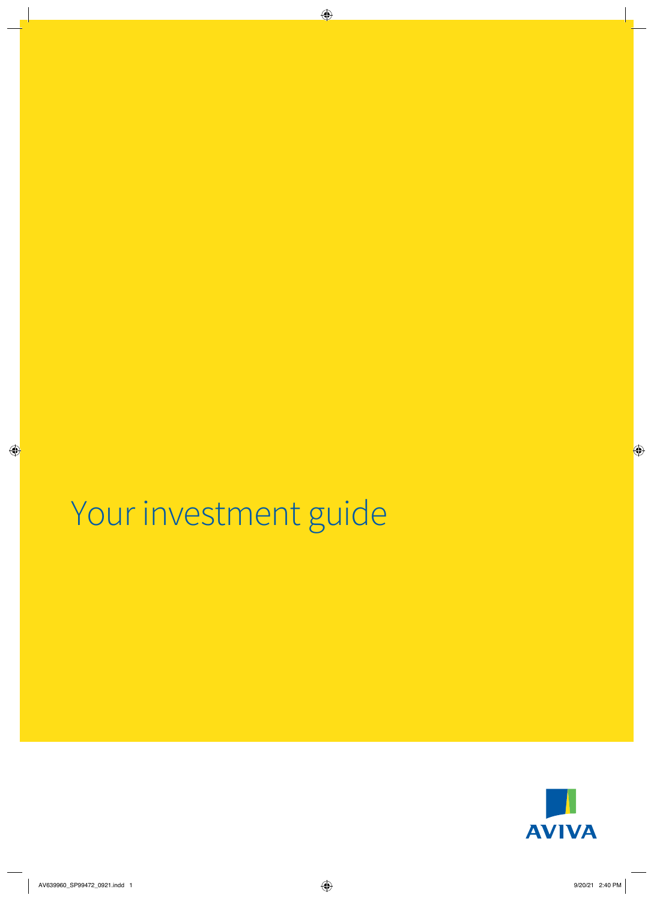## Your investment guide

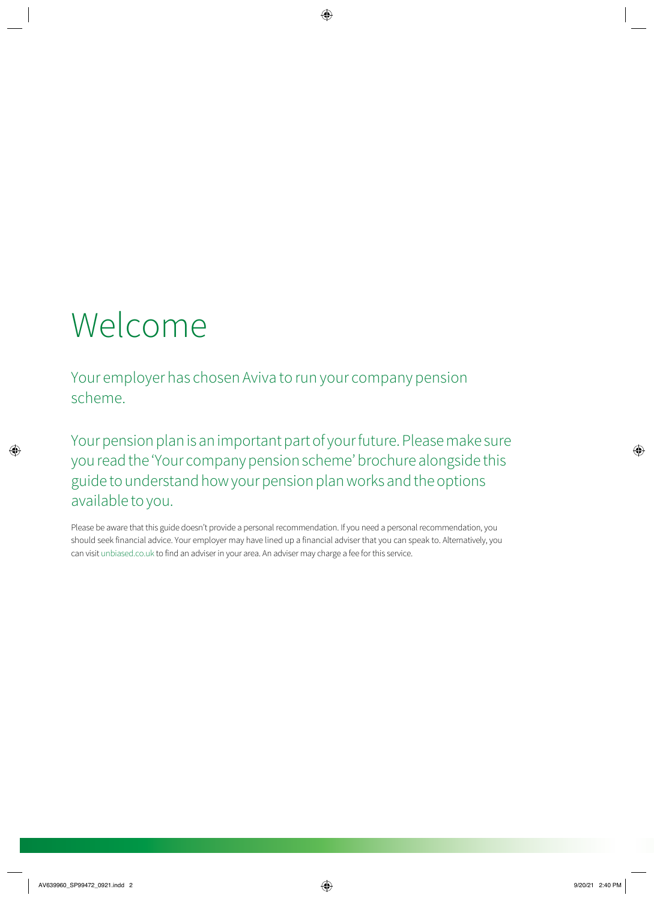# Welcome

Your employer has chosen Aviva to run your company pension scheme.

Your pension plan is an important part of your future. Please make sure you read the ʻYour company pension scheme' brochure alongside this guide to understand how your pension plan works and the options available to you.

Please be aware that this guide doesn't provide a personal recommendation. If you need a personal recommendation, you should seek financial advice. Your employer may have lined up a financial adviser that you can speak to. Alternatively, you can visit [unbiased.co.uk](http://unbiased.co.uk) to find an adviser in your area. An adviser may charge a fee for this service.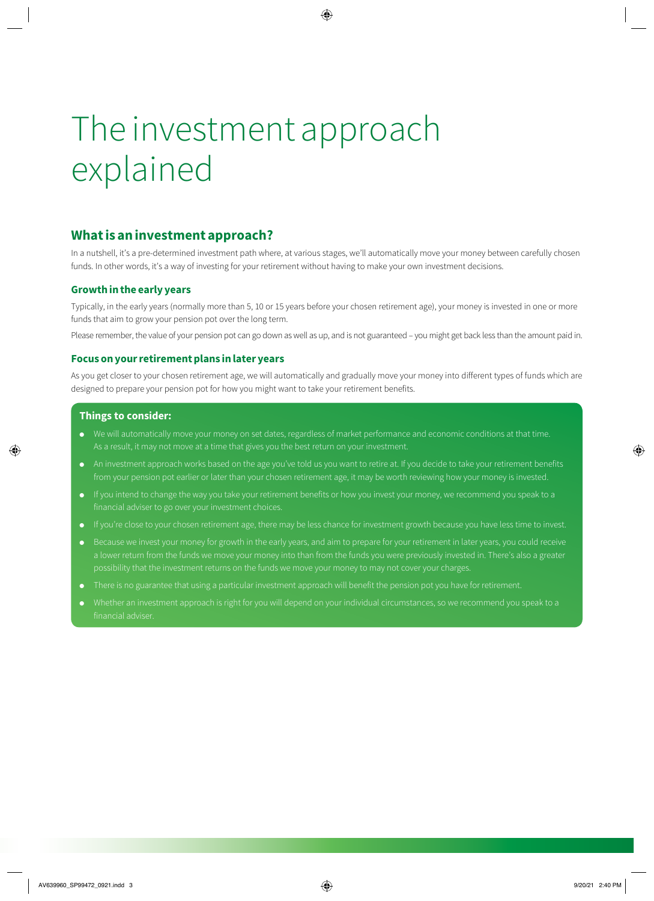# The investment approach explained

## **What is an investment approach?**

In a nutshell, it's a pre-determined investment path where, at various stages, we'll automatically move your money between carefully chosen funds. In other words, it's a way of investing for your retirement without having to make your own investment decisions.

### **Growth in the early years**

Typically, in the early years (normally more than 5, 10 or 15 years before your chosen retirement age), your money is invested in one or more funds that aim to grow your pension pot over the long term.

Please remember, the value of your pension pot can go down as well as up, and is not guaranteed – you might get back less than the amount paid in.

### **Focus on your retirement plans in later years**

As you get closer to your chosen retirement age, we will automatically and gradually move your money into different types of funds which are designed to prepare your pension pot for how you might want to take your retirement benefits.

#### **Things to consider:**

- We will automatically move your money on set dates, regardless of market performance and economic conditions at that time. As a result, it may not move at a time that gives you the best return on your investment.
- An investment approach works based on the age you've told us you want to retire at. If you decide to take your retirement benefits from your pension pot earlier or later than your chosen retirement age, it may be worth reviewing how your money is invested.
- financial adviser to go over your investment choices.
- If you're close to your chosen retirement age, there may be less chance for investment growth because you have less time to invest.
- a lower return from the funds we move your money into than from the funds you were previously invested in. There's also a greater possibility that the investment returns on the funds we move your money to may not cover your charges.
- There is no guarantee that using a particular investment approach will benefit the pension pot you have for retirement.
-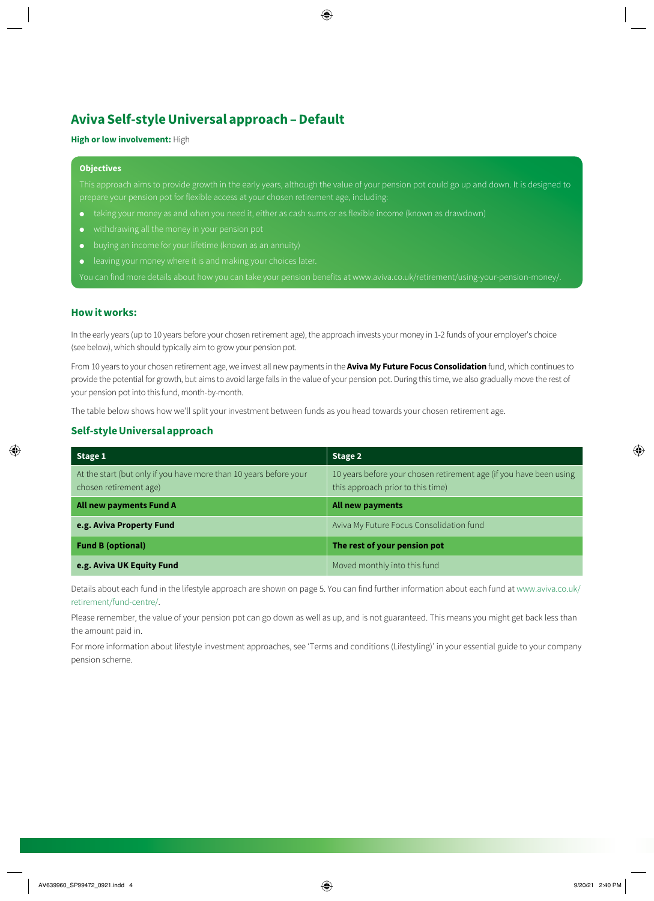## **Aviva Self-style Universal approach – Default**

#### **High or low involvement:** High

#### **Objectives**

This approach aims to provide growth in the early years, although the value of your pension pot could go up and down. It is designed to prepare your pension pot for flexible access at your chosen retirement age, including:

- 
- 
- buving an income for your lifetime (known as an annuity)
- leaving your money where it is and making your choices later.

You can find more details about how you can take your pension benefits at [www.aviva.co.uk/retirement/using-your-pension-money/.](http://www.aviva.co.uk/retirement/using-your-pension-money/)

### **How it works:**

In the early years (up to 10 years before your chosen retirement age), the approach invests your money in 1-2 funds of your employer's choice (see below), which should typically aim to grow your pension pot.

From 10 years to your chosen retirement age, we invest all new payments in the **Aviva My Future Focus Consolidation** fund, which continues to provide the potential for growth, but aims to avoid large falls in the value of your pension pot. During this time, we also gradually move the rest of your pension pot into this fund, month-by-month.

The table below shows how we'll split your investment between funds as you head towards your chosen retirement age.

#### **Self-style Universal approach**

| Stage 1                                                                                     | Stage 2                                                                                                 |
|---------------------------------------------------------------------------------------------|---------------------------------------------------------------------------------------------------------|
| At the start (but only if you have more than 10 years before your<br>chosen retirement age) | 10 years before your chosen retirement age (if you have been using<br>this approach prior to this time) |
| All new payments Fund A                                                                     | All new payments                                                                                        |
| e.g. Aviva Property Fund                                                                    | Aviva My Future Focus Consolidation fund                                                                |
| <b>Fund B (optional)</b>                                                                    | The rest of your pension pot                                                                            |
| e.g. Aviva UK Equity Fund                                                                   | Moved monthly into this fund                                                                            |

Details about each fund in the lifestyle approach are shown on page 5. You can find further information about each fund at [www.aviva.co.uk/](http://www.aviva.co.uk/retirement/fund-centre/) [retirement/fund-centre/.](http://www.aviva.co.uk/retirement/fund-centre/)

Please remember, the value of your pension pot can go down as well as up, and is not guaranteed. This means you might get back less than the amount paid in.

For more information about lifestyle investment approaches, see 'Terms and conditions (Lifestyling)' in your essential guide to your company pension scheme.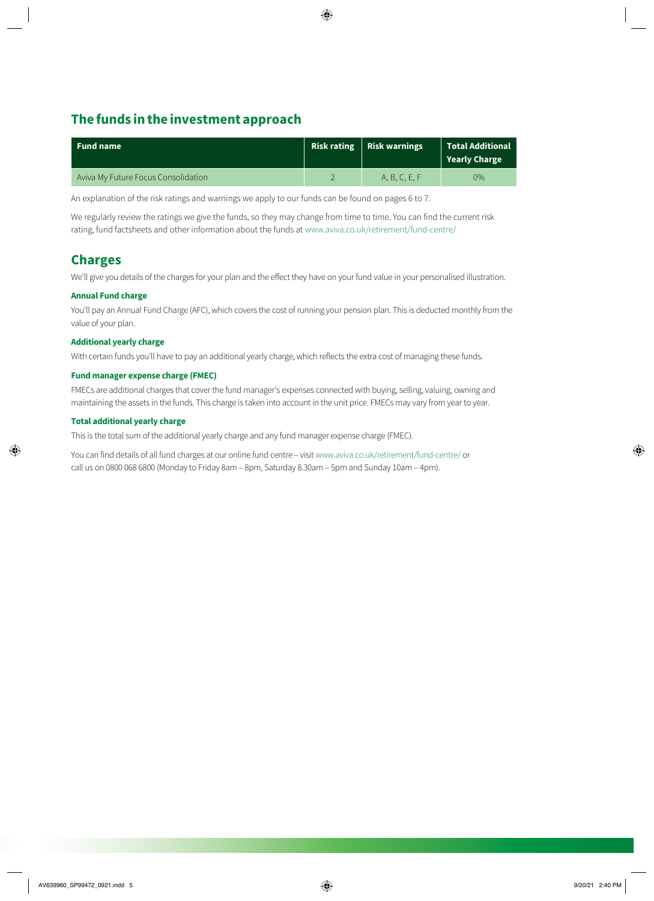## **The funds in the investment approach**

| Fund name                           | Risk rating $ $ Risk warnings | $\mid$ Total Additional<br>Yearly Charge |
|-------------------------------------|-------------------------------|------------------------------------------|
| Aviva My Future Focus Consolidation | A, B, C, E, F                 | $0\%$                                    |

An explanation of the risk ratings and warnings we apply to our funds can be found on pages 6 to 7.

We regularly review the ratings we give the funds, so they may change from time to time. You can find the current risk rating, fund factsheets and other information about the funds at [www.aviva.co.uk/retirement/fund-centre/](https://www.aviva.co.uk/retirement/fund-centre/) 

## **Charges**

We'll give you details of the charges for your plan and the effect they have on your fund value in your personalised illustration.

#### **Annual Fund charge**

You'll pay an Annual Fund Charge (AFC), which covers the cost of running your pension plan. This is deducted monthly from the value of your plan.

#### **Additional yearly charge**

With certain funds you'll have to pay an additional yearly charge, which reflects the extra cost of managing these funds.

### **Fund manager expense charge (FMEC)**

FMECs are additional charges that cover the fund manager's expenses connected with buying, selling, valuing, owning and maintaining the assets in the funds. This charge is taken into account in the unit price. FMECs may vary from year to year.

#### **Total additional yearly charge**

This is the total sum of the additional yearly charge and any fund manager expense charge (FMEC).

You can find details of all fund charges at our online fund centre – visit [www.aviva.co.uk/retirement/fund-centre/](http://www.aviva.co.uk/retirement/fund-centre/) or call us on 0800 068 6800 (Monday to Friday 8am – 8pm, Saturday 8.30am – 5pm and Sunday 10am – 4pm).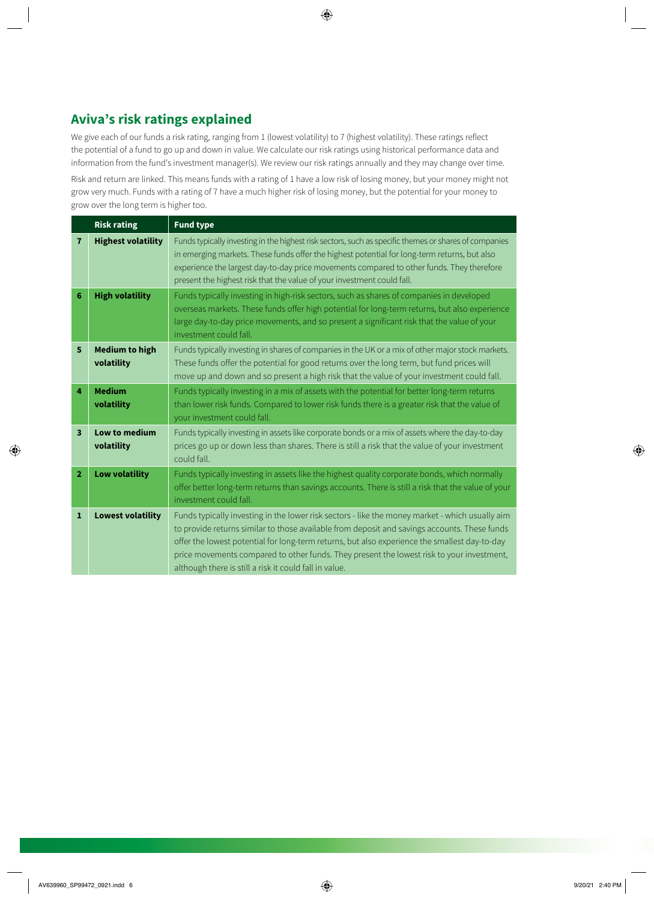## **Aviva's risk ratings explained**

We give each of our funds a risk rating, ranging from 1 (lowest volatility) to 7 (highest volatility). These ratings reflect the potential of a fund to go up and down in value. We calculate our risk ratings using historical performance data and information from the fund's investment manager(s). We review our risk ratings annually and they may change over time.

Risk and return are linked. This means funds with a rating of 1 have a low risk of losing money, but your money might not grow very much. Funds with a rating of 7 have a much higher risk of losing money, but the potential for your money to grow over the long term is higher too.

|                         | <b>Risk rating</b>                  | <b>Fund type</b>                                                                                                                                                                                                                                                                                                                                                                                                                                        |
|-------------------------|-------------------------------------|---------------------------------------------------------------------------------------------------------------------------------------------------------------------------------------------------------------------------------------------------------------------------------------------------------------------------------------------------------------------------------------------------------------------------------------------------------|
| $\overline{7}$          | <b>Highest volatility</b>           | Funds typically investing in the highest risk sectors, such as specific themes or shares of companies<br>in emerging markets. These funds offer the highest potential for long-term returns, but also<br>experience the largest day-to-day price movements compared to other funds. They therefore<br>present the highest risk that the value of your investment could fall.                                                                            |
| 6                       | <b>High volatility</b>              | Funds typically investing in high-risk sectors, such as shares of companies in developed<br>overseas markets. These funds offer high potential for long-term returns, but also experience<br>large day-to-day price movements, and so present a significant risk that the value of your<br>investment could fall.                                                                                                                                       |
| 5                       | <b>Medium to high</b><br>volatility | Funds typically investing in shares of companies in the UK or a mix of other major stock markets.<br>These funds offer the potential for good returns over the long term, but fund prices will<br>move up and down and so present a high risk that the value of your investment could fall.                                                                                                                                                             |
| 4                       | <b>Medium</b><br>volatility         | Funds typically investing in a mix of assets with the potential for better long-term returns<br>than lower risk funds. Compared to lower risk funds there is a greater risk that the value of<br>your investment could fall.                                                                                                                                                                                                                            |
| $\overline{\mathbf{3}}$ | Low to medium<br>volatility         | Funds typically investing in assets like corporate bonds or a mix of assets where the day-to-day<br>prices go up or down less than shares. There is still a risk that the value of your investment<br>could fall.                                                                                                                                                                                                                                       |
| $\overline{2}$          | <b>Low volatility</b>               | Funds typically investing in assets like the highest quality corporate bonds, which normally<br>offer better long-term returns than savings accounts. There is still a risk that the value of your<br>investment could fall.                                                                                                                                                                                                                            |
| $\mathbf 1$             | <b>Lowest volatility</b>            | Funds typically investing in the lower risk sectors - like the money market - which usually aim<br>to provide returns similar to those available from deposit and savings accounts. These funds<br>offer the lowest potential for long-term returns, but also experience the smallest day-to-day<br>price movements compared to other funds. They present the lowest risk to your investment,<br>although there is still a risk it could fall in value. |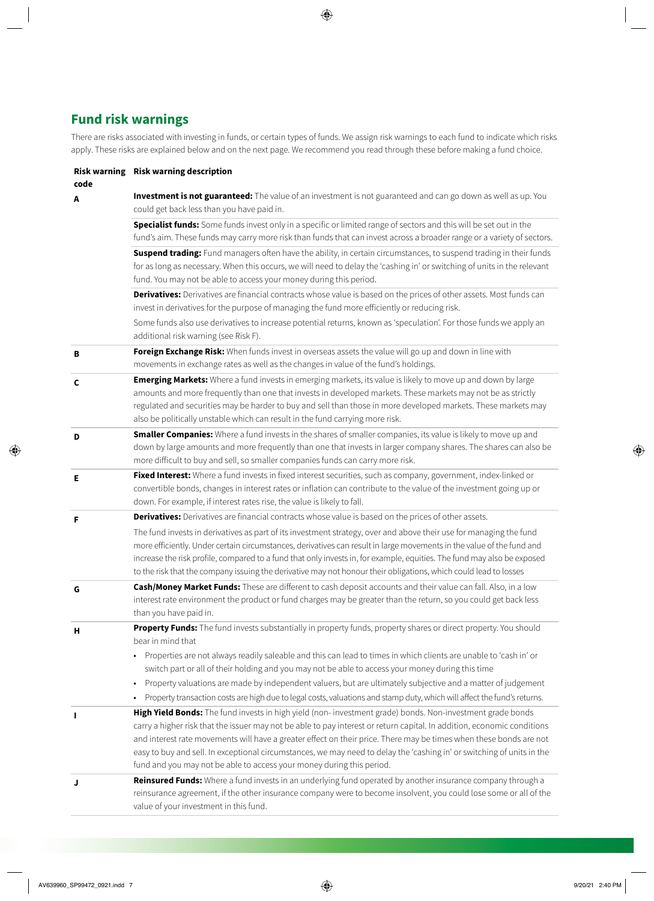## **Fund risk warnings**

There are risks associated with investing in funds, or certain types of funds. We assign risk warnings to each fund to indicate which risks apply. These risks are explained below and on the next page. We recommend you read through these before making a fund choice.

| code | Risk warning Risk warning description                                                                                                                                                                                                                                                                                                                                                                                                                                                                                                                                                                                                 |
|------|---------------------------------------------------------------------------------------------------------------------------------------------------------------------------------------------------------------------------------------------------------------------------------------------------------------------------------------------------------------------------------------------------------------------------------------------------------------------------------------------------------------------------------------------------------------------------------------------------------------------------------------|
| A    | Investment is not guaranteed: The value of an investment is not guaranteed and can go down as well as up. You<br>could get back less than you have paid in.                                                                                                                                                                                                                                                                                                                                                                                                                                                                           |
|      | Specialist funds: Some funds invest only in a specific or limited range of sectors and this will be set out in the<br>fund's aim. These funds may carry more risk than funds that can invest across a broader range or a variety of sectors.                                                                                                                                                                                                                                                                                                                                                                                          |
|      | Suspend trading: Fund managers often have the ability, in certain circumstances, to suspend trading in their funds<br>for as long as necessary. When this occurs, we will need to delay the 'cashing in' or switching of units in the relevant<br>fund. You may not be able to access your money during this period.                                                                                                                                                                                                                                                                                                                  |
|      | Derivatives: Derivatives are financial contracts whose value is based on the prices of other assets. Most funds can<br>invest in derivatives for the purpose of managing the fund more efficiently or reducing risk.<br>Some funds also use derivatives to increase potential returns, known as 'speculation'. For those funds we apply an                                                                                                                                                                                                                                                                                            |
|      | additional risk warning (see Risk F).                                                                                                                                                                                                                                                                                                                                                                                                                                                                                                                                                                                                 |
| в    | Foreign Exchange Risk: When funds invest in overseas assets the value will go up and down in line with<br>movements in exchange rates as well as the changes in value of the fund's holdings.                                                                                                                                                                                                                                                                                                                                                                                                                                         |
| C    | Emerging Markets: Where a fund invests in emerging markets, its value is likely to move up and down by large<br>amounts and more frequently than one that invests in developed markets. These markets may not be as strictly<br>regulated and securities may be harder to buy and sell than those in more developed markets. These markets may<br>also be politically unstable which can result in the fund carrying more risk.                                                                                                                                                                                                       |
| D    | Smaller Companies: Where a fund invests in the shares of smaller companies, its value is likely to move up and<br>down by large amounts and more frequently than one that invests in larger company shares. The shares can also be<br>more difficult to buy and sell, so smaller companies funds can carry more risk.                                                                                                                                                                                                                                                                                                                 |
| Е    | Fixed Interest: Where a fund invests in fixed interest securities, such as company, government, index-linked or<br>convertible bonds, changes in interest rates or inflation can contribute to the value of the investment going up or<br>down. For example, if interest rates rise, the value is likely to fall.                                                                                                                                                                                                                                                                                                                     |
| F    | Derivatives: Derivatives are financial contracts whose value is based on the prices of other assets.                                                                                                                                                                                                                                                                                                                                                                                                                                                                                                                                  |
|      | The fund invests in derivatives as part of its investment strategy, over and above their use for managing the fund<br>more efficiently. Under certain circumstances, derivatives can result in large movements in the value of the fund and<br>increase the risk profile, compared to a fund that only invests in, for example, equities. The fund may also be exposed<br>to the risk that the company issuing the derivative may not honour their obligations, which could lead to losses                                                                                                                                            |
| G    | Cash/Money Market Funds: These are different to cash deposit accounts and their value can fall. Also, in a low<br>interest rate environment the product or fund charges may be greater than the return, so you could get back less<br>than you have paid in.                                                                                                                                                                                                                                                                                                                                                                          |
| н    | Property Funds: The fund invests substantially in property funds, property shares or direct property. You should<br>bear in mind that<br>Properties are not always readily saleable and this can lead to times in which clients are unable to 'cash in' or<br>$\bullet$<br>switch part or all of their holding and you may not be able to access your money during this time<br>Property valuations are made by independent valuers, but are ultimately subjective and a matter of judgement<br>$\bullet$<br>Property transaction costs are high due to legal costs, valuations and stamp duty, which will affect the fund's returns. |
|      | High Yield Bonds: The fund invests in high yield (non- investment grade) bonds. Non-investment grade bonds<br>carry a higher risk that the issuer may not be able to pay interest or return capital. In addition, economic conditions<br>and interest rate movements will have a greater effect on their price. There may be times when these bonds are not<br>easy to buy and sell. In exceptional circumstances, we may need to delay the 'cashing in' or switching of units in the<br>fund and you may not be able to access your money during this period.                                                                        |
| J    | Reinsured Funds: Where a fund invests in an underlying fund operated by another insurance company through a<br>reinsurance agreement, if the other insurance company were to become insolvent, you could lose some or all of the<br>value of your investment in this fund.                                                                                                                                                                                                                                                                                                                                                            |